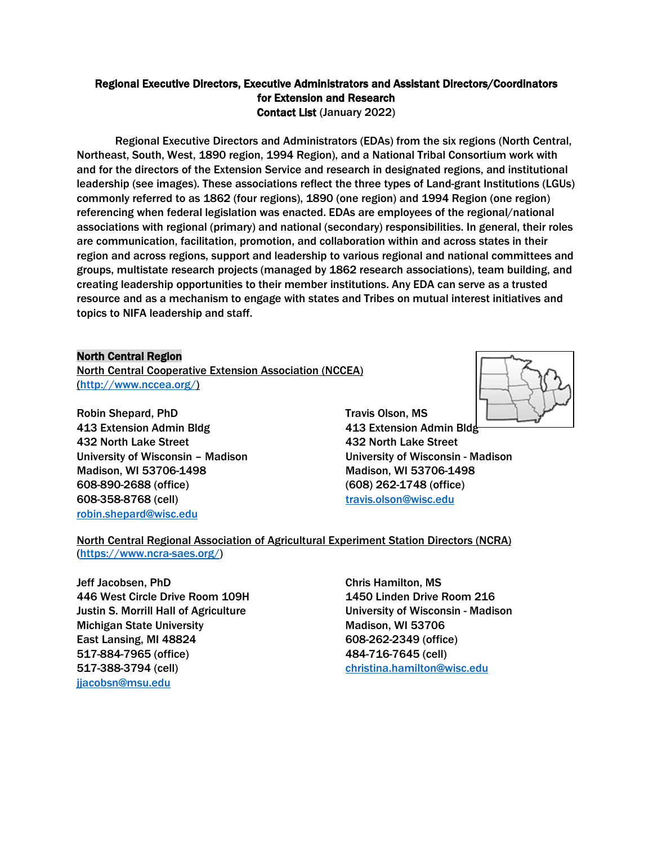## Regional Executive Directors, Executive Administrators and Assistant Directors/Coordinators for Extension and Research Contact List (January 2022)

Regional Executive Directors and Administrators (EDAs) from the six regions (North Central, Northeast, South, West, 1890 region, 1994 Region), and a National Tribal Consortium work with and for the directors of the Extension Service and research in designated regions, and institutional leadership (see images). These associations reflect the three types of Land-grant Institutions (LGUs) commonly referred to as 1862 (four regions), 1890 (one region) and 1994 Region (one region) referencing when federal legislation was enacted. EDAs are employees of the regional/national associations with regional (primary) and national (secondary) responsibilities. In general, their roles are communication, facilitation, promotion, and collaboration within and across states in their region and across regions, support and leadership to various regional and national committees and groups, multistate research projects (managed by 1862 research associations), team building, and creating leadership opportunities to their member institutions. Any EDA can serve as a trusted resource and as a mechanism to engage with states and Tribes on mutual interest initiatives and topics to NIFA leadership and staff.

## North Central Region

North Central Cooperative Extension Association (NCCEA) [\(http://www.nccea.org/\)](http://www.nccea.org/)

Robin Shepard, PhD Travis Olson, MS 413 Extension Admin Bldg 413 Extension Admin Bldg 432 North Lake Street 432 North Lake Street Madison, WI 53706-1498 Madison, WI 53706-1498 608-890-2688 (office) (608) 262-1748 (office) 608-358-8768 (cell) [travis.olson@wisc.edu](mailto:travis.olson@wisc.edu) [robin.shepard@wisc.edu](mailto:robin.shepard@wisc.edu)



# North Central Regional Association of Agricultural Experiment Station Directors (NCRA) [\(https://www.ncra-saes.org/\)](https://www.ncra-saes.org/)

**Jeff Jacobsen, PhD** Chris Hamilton, MS 446 West Circle Drive Room 109H 1450 Linden Drive Room 216 Justin S. Morrill Hall of Agriculture **University of Wisconsin - Madison** Michigan State University Michigan State University East Lansing, MI 48824 608-262-2349 (office) 517-884-7965 (office) 484-716-7645 (cell) 517-388-3794 (cell) [christina.hamilton@wisc.edu](mailto:christina.hamilton@wisc.edu) [jjacobsn@msu.edu](mailto:jjacobsn@msu.edu)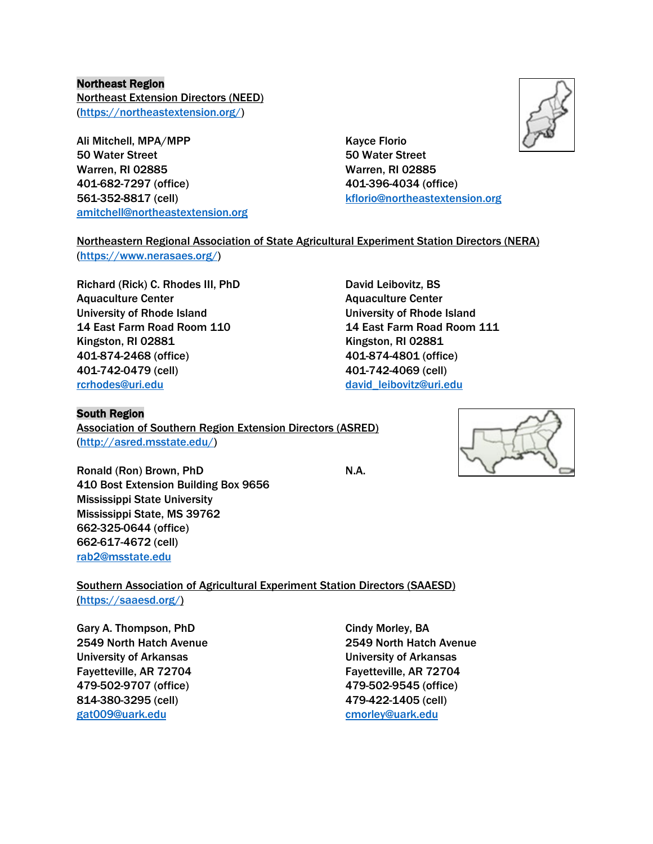## Northeast Region

Northeast Extension Directors (NEED) [\(https://northeastextension.org/\)](https://northeastextension.org/)

Ali Mitchell, MPA/MPP Kayce Florio 50 Water Street 50 Water Street Warren, RI 02885 Warren, RI 02885 401-682-7297 (office) 401-396-4034 (office) 561-352-8817 (cell) [kflorio@northeastextension.org](mailto:kflorio@northeastextension.org) [amitchell@northeastextension.org](mailto:amitchell@northeastextension.org)



# Northeastern Regional Association of State Agricultural Experiment Station Directors (NERA)

[\(https://www.nerasaes.org/\)](https://www.nerasaes.org/)

Richard (Rick) C. Rhodes III, PhD David Leibovitz, BS Aquaculture Center **Aquaculture Center** Aquaculture Center University of Rhode Island University of Rhode Island 14 East Farm Road Room 110 14 East Farm Road Room 111 Kingston, RI 02881 Kingston, RI 02881 401-874-2468 (office) 401-874-4801 (office) 401-742-0479 (cell) 401-742-4069 (cell) [rcrhodes@uri.edu](mailto:rcrhodes@uri.edu) [david\\_leibovitz@uri.edu](mailto:david_leibovitz@uri.edu)

#### South Region

Association of Southern Region Extension Directors (ASRED) [\(http://asred.msstate.edu/\)](http://asred.msstate.edu/)

Ronald (Ron) Brown, PhD N.A. 410 Bost Extension Building Box 9656 Mississippi State University Mississippi State, MS 39762 662-325-0644 (office) 662-617-4672 (cell) [rab2@msstate.edu](mailto:rab2@msstate.edu)

Southern Association of Agricultural Experiment Station Directors (SAAESD) [\(https://saaesd.org/\)](https://saaesd.org/)

Gary A. Thompson, PhD Cindy Morley, BA University of Arkansas University of Arkansas Fayetteville, AR 72704 Fayetteville, AR 72704 479-502-9707 (office) 479-502-9545 (office) 814-380-3295 (cell) 479-422-1405 (cell) [gat009@uark.edu](mailto:gat009@uark.edu) [cmorley@uark.edu](mailto:cmorley@uark.edu)

2549 North Hatch Avenue 2549 North Hatch Avenue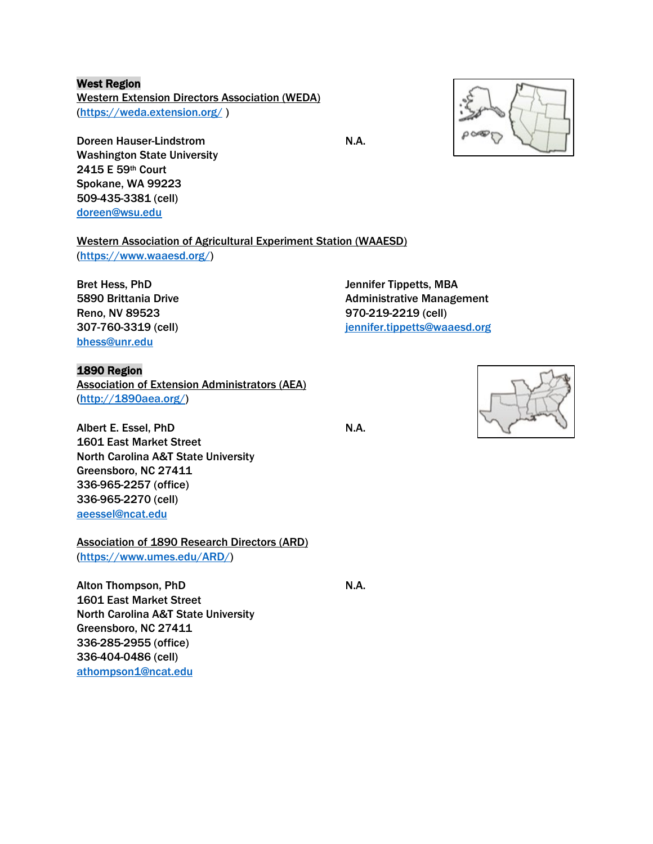## West Region

Western Extension Directors Association (WEDA) [\(https://weda.extension.org/](https://weda.extension.org/) )

Doreen Hauser-Lindstrom N.A. Washington State University 2415 E 59th Court Spokane, WA 99223 509-435-3381 (cell) [doreen@wsu.edu](mailto:doreen@wsu.edu)

Western Association of Agricultural Experiment Station (WAAESD)

[\(https://www.waaesd.org/\)](https://www.waaesd.org/)

[bhess@unr.edu](mailto:bhess@unr.edu)

# 1890 Region

Association of Extension Administrators (AEA) [\(http://1890aea.org/\)](http://1890aea.org/)

Albert E. Essel, PhD N.A. 1601 East Market Street North Carolina A&T State University Greensboro, NC 27411 336-965-2257 (office) 336-965-2270 (cell) [aeessel@ncat.edu](mailto:aeessel@ncat.edu)

Association of 1890 Research Directors (ARD) [\(https://www.umes.edu/ARD/\)](https://www.umes.edu/ARD/)

Alton Thompson, PhD N.A. 1601 East Market Street North Carolina A&T State University Greensboro, NC 27411 336-285-2955 (office) 336-404-0486 (cell) [athompson1@ncat.edu](mailto:athompson1@ncat.edu)

Bret Hess, PhD **State Times** Jennifer Tippetts, MBA 5890 Brittania Drive **Administrative Management** Reno, NV 89523 970-219-2219 (cell) 307-760-3319 (cell) [jennifer.tippetts@waaesd.org](mailto:jennifer.tippetts@waaesd.org)